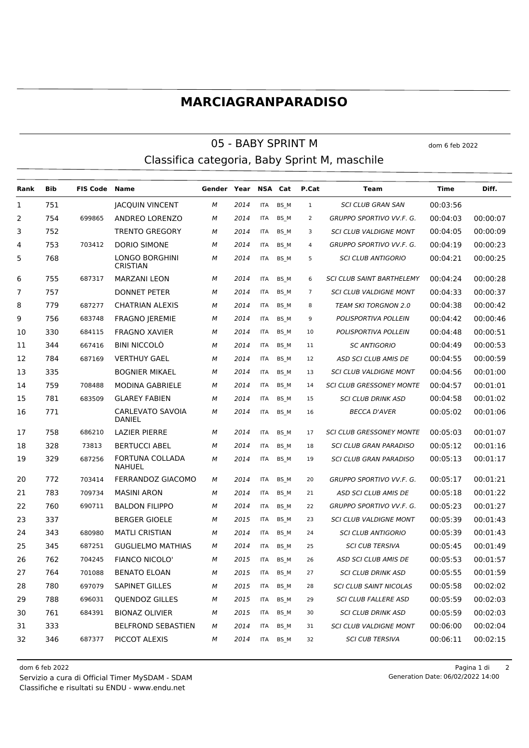## **MARCIAGRANPARADISO**

## 05 - BABY SPRINT M Classifica categoria, Baby Sprint M, maschile

**Rank Bib FIS Code Name Gender Year NSA Cat P.Cat Team Time Diff.** 751 JACQUIN VINCENT *M 2014* ITA BS\_M 1 *SCI CLUB GRAN SAN* 00:03:56 754 699865 ANDREO LORENZO *M 2014* ITA BS\_M 2 *GRUPPO SPORTIVO VV.F. G.* 00:04:03 00:00:07 752 TRENTO GREGORY *M 2014* ITA BS\_M 3 *SCI CLUB VALDIGNE MONT* 00:04:05 00:00:09 753 703412 DORIO SIMONE *M 2014* ITA BS\_M 4 *GRUPPO SPORTIVO VV.F. G.* 00:04:19 00:00:23 LONGO BORGHINI **CRISTIAN**  *M 2014* ITA BS\_M 5 *SCI CLUB ANTIGORIO* 00:04:21 00:00:25 755 687317 MARZANI LEON *M 2014* ITA BS\_M 6 *SCI CLUB SAINT BARTHELEMY* 00:04:24 00:00:28 757 DONNET PETER *M 2014* ITA BS\_M 7 *SCI CLUB VALDIGNE MONT* 00:04:33 00:00:37 779 687277 CHATRIAN ALEXIS *M 2014* ITA BS\_M 8 *TEAM SKI TORGNON 2.0* 00:04:38 00:00:42 756 683748 FRAGNO JEREMIE *M 2014* ITA BS\_M 9 *POLISPORTIVA POLLEIN* 00:04:42 00:00:46 330 684115 FRAGNO XAVIER *M 2014* ITA BS\_M 10 *POLISPORTIVA POLLEIN* 00:04:48 00:00:51 344 667416 BINI NICCOLÒ *M 2014* ITA BS\_M 11 *SC ANTIGORIO* 00:04:49 00:00:53 784 687169 VERTHUY GAEL *M 2014* ITA BS\_M 12 *ASD SCI CLUB AMIS DE* 00:04:55 00:00:59 335 BOGNIER MIKAEL *M 2014* ITA BS\_M 13 *SCI CLUB VALDIGNE MONT* 00:04:56 00:01:00 759 708488 MODINA GABRIELE *M 2014* ITA BS\_M 14 *SCI CLUB GRESSONEY MONTE* 00:04:57 00:01:01 781 683509 GLAREY FABIEN *M 2014* ITA BS\_M 15 *SCI CLUB DRINK ASD* 00:04:58 00:01:02 CARLEVATO SAVOIA *M 2014* ITA BS\_M 16 *BECCA D'AVER* 00:05:02 00:01:06 DANIEL 758 686210 LAZIER PIERRE *M 2014* ITA BS\_M 17 *SCI CLUB GRESSONEY MONTE* 00:05:03 00:01:07 328 73813 BERTUCCI ABEL *M 2014* ITA BS\_M 18 *SCI CLUB GRAN PARADISO* 00:05:12 00:01:16 FORTUNA COLLADA NAHUEL 19 329 687256 FORTUNA COLLADA M 2014 ITA BS M 19 *SCI CLUB GRAN PARADISO* 00:05:13 00:01:17 772 703414 FERRANDOZ GIACOMO *M 2014* ITA BS\_M 20 *GRUPPO SPORTIVO VV.F. G.* 00:05:17 00:01:21 783 709734 MASINI ARON *M 2014* ITA BS\_M 21 *ASD SCI CLUB AMIS DE* 00:05:18 00:01:22 760 690711 BALDON FILIPPO *M 2014* ITA BS\_M 22 *GRUPPO SPORTIVO VV.F. G.* 00:05:23 00:01:27 337 BERGER GIOELE *M 2015* ITA BS\_M 23 *SCI CLUB VALDIGNE MONT* 00:05:39 00:01:43 343 680980 MATLI CRISTIAN *M 2014* ITA BS\_M 24 *SCI CLUB ANTIGORIO* 00:05:39 00:01:43 345 687251 GUGLIELMO MATHIAS *M 2014* ITA BS\_M 25 *SCI CUB TERSIVA* 00:05:45 00:01:49 762 704245 FIANCO NICOLO' *M 2015* ITA BS\_M 26 *ASD SCI CLUB AMIS DE* 00:05:53 00:01:57 764 701088 BENATO ELOAN *M 2015* ITA BS\_M 27 *SCI CLUB DRINK ASD* 00:05:55 00:01:59 780 697079 SAPINET GILLES *M 2015* ITA BS\_M 28 *SCI CLUB SAINT NICOLAS* 00:05:58 00:02:02 788 696031 QUENDOZ GILLES *M 2015* ITA BS\_M 29 *SCI CLUB FALLERE ASD* 00:05:59 00:02:03 761 684391 BIONAZ OLIVIER *M 2015* ITA BS\_M 30 *SCI CLUB DRINK ASD* 00:05:59 00:02:03 333 BELFROND SEBASTIEN *M 2014* ITA BS\_M 31 *SCI CLUB VALDIGNE MONT* 00:06:00 00:02:04 346 687377 PICCOT ALEXIS *M 2014* ITA BS\_M 32 *SCI CUB TERSIVA* 00:06:11 00:02:15

Classifiche e risultati su ENDU - www.endu.net Servizio a cura di Official Timer MySDAM - SDAM dom 6 feb 2022 Pagina 1 di 2

Generation Date: 06/02/2022 14:00